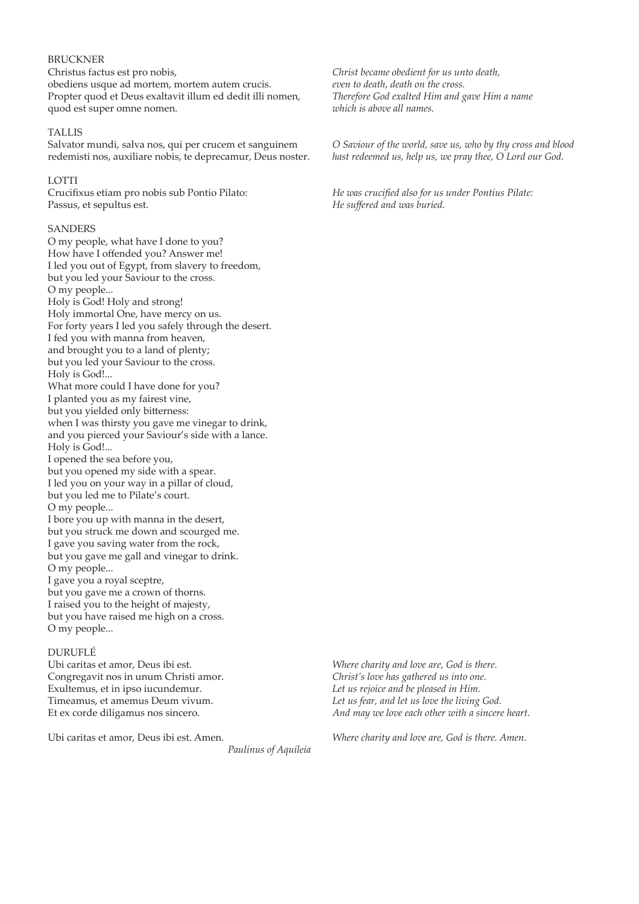## BRUCKNER

Christus factus est pro nobis, obediens usque ad mortem, mortem autem crucis. Propter quod et Deus exaltavit illum ed dedit illi nomen, quod est super omne nomen.

### TALLIS

Salvator mundi, salva nos, qui per crucem et sanguinem redemisti nos, auxiliare nobis, te deprecamur, Deus noster.

### LOTTI

Crucifxus etiam pro nobis sub Pontio Pilato: Passus, et sepultus est.

### SANDERS

O my people, what have I done to you? How have I offended you? Answer me! I led you out of Egypt, from slavery to freedom, but you led your Saviour to the cross. O my people... Holy is God! Holy and strong! Holy immortal One, have mercy on us. For forty years I led you safely through the desert. I fed you with manna from heaven, and brought you to a land of plenty; but you led your Saviour to the cross. Holy is God!... What more could I have done for you? I planted you as my fairest vine, but you yielded only biterness: when I was thirsty you gave me vinegar to drink, and you pierced your Saviour's side with a lance. Holy is God!... I opened the sea before you, but you opened my side with a spear. I led you on your way in a pillar of cloud, but you led me to Pilate's court. O my people... I bore you up with manna in the desert, but you struck me down and scourged me. I gave you saving water from the rock, but you gave me gall and vinegar to drink. O my people... I gave you a royal sceptre, but you gave me a crown of thorns. I raised you to the height of majesty, but you have raised me high on a cross. O my people...

## DURUFLÉ

Ubi caritas et amor, Deus ibi est. Congregavit nos in unum Christi amor. Exultemus, et in ipso iucundemur. Timeamus, et amemus Deum vivum. Et ex corde diligamus nos sincero.

Ubi caritas et amor, Deus ibi est. Amen.

*Paulinus of Aquileia*

*Christ became obedient for us unto death, even to death, death on the cross. Therefore God exalted Him and gave Him a name which is above all names.*

*O Saviour of the world, save us, who by thy cross and blood hast redeemed us, help us, we pray thee, O Lord our God.*

*He was crucifed also for us under Pontius Pilate: He sufered and was buried.* 

*Where charity and love are, God is there. Christ's love has gathered us into one. Let us rejoice and be pleased in Him. Let us fear, and let us love the living God. And may we love each other with a sincere heart.*

*Where charity and love are, God is there. Amen.*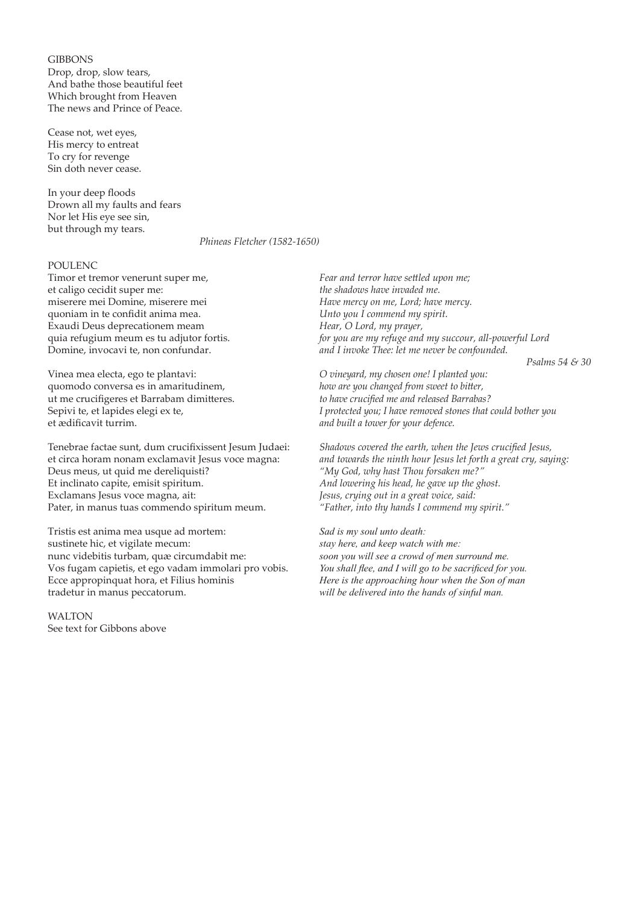**GIBBONS** Drop, drop, slow tears, And bathe those beautiful feet Which brought from Heaven The news and Prince of Peace.

Cease not, wet eyes, His mercy to entreat To cry for revenge Sin doth never cease.

In your deep floods Drown all my faults and fears Nor let His eye see sin, but through my tears.

*Phineas Fletcher (1582-1650)*

## POULENC

Timor et tremor venerunt super me, et caligo cecidit super me: miserere mei Domine, miserere mei quoniam in te confidit anima mea. Exaudi Deus deprecationem meam quia refugium meum es tu adjutor fortis. Domine, invocavi te, non confundar.

Vinea mea electa, ego te plantavi: quomodo conversa es in amaritudinem, ut me crucifgeres et Barrabam dimiteres. Sepivi te, et lapides elegi ex te, et ædifcavit turrim.

Tenebrae factae sunt, dum crucifxissent Jesum Judaei: et circa horam nonam exclamavit Jesus voce magna: Deus meus, ut quid me dereliquisti? Et inclinato capite, emisit spiritum. Exclamans Jesus voce magna, ait: Pater, in manus tuas commendo spiritum meum.

Tristis est anima mea usque ad mortem: sustinete hic, et vigilate mecum: nunc videbitis turbam, quæ circumdabit me: Vos fugam capietis, et ego vadam immolari pro vobis. Ecce appropinquat hora, et Filius hominis tradetur in manus peccatorum.

**WALTON** See text for Gibbons above

*Fear and terror have setled upon me; the shadows have invaded me. Have mercy on me, Lord; have mercy. Unto you I commend my spirit. Hear, O Lord, my prayer, for you are my refuge and my succour, all-powerful Lord and I invoke Thee: let me never be confounded.*

*Psalms 54 & 30*

*O vineyard, my chosen one! I planted you: how are you changed from sweet to biter, to have crucifed me and released Barrabas? I protected you; I have removed stones that could bother you and built a tower for your defence.*

*Shadows covered the earth, when the Jews crucifed Jesus, and towards the ninth hour Jesus let forth a great cry, saying: "My God, why hast Thou forsaken me?" And lowering his head, he gave up the ghost. Jesus, crying out in a great voice, said: "Father, into thy hands I commend my spirit."*

*Sad is my soul unto death: stay here, and keep watch with me: soon you will see a crowd of men surround me. You shall fee, and I will go to be sacrifced for you. Here is the approaching hour when the Son of man will be delivered into the hands of sinful man.*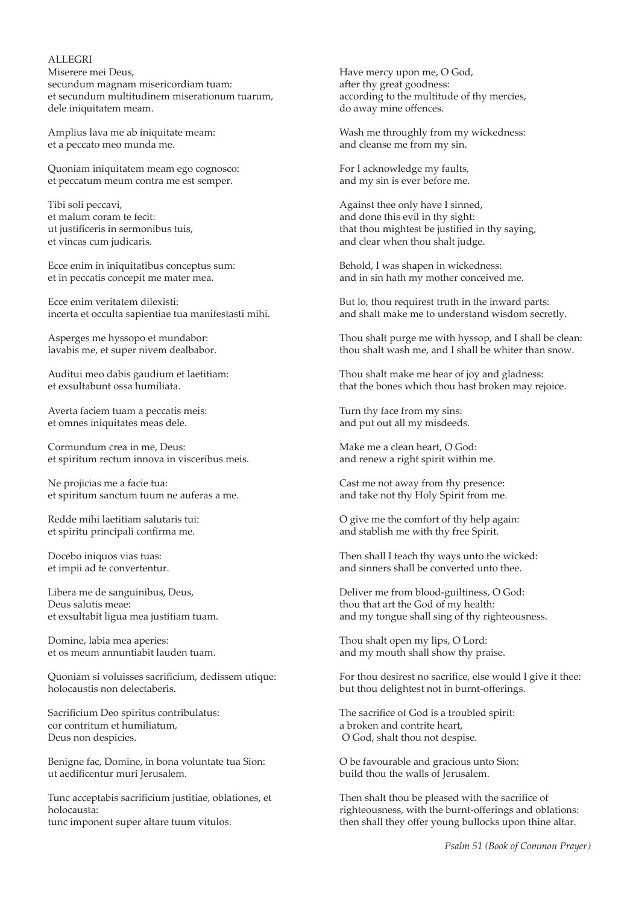### ALLEGRI

Miserere mei Deus, secundum magnam misericordiam tuam: et secundum multitudinem miserationum tuarum, dele iniquitatem meam.

Amplius lava me ab iniquitate meam: et a peccato meo munda me.

Quoniam iniquitatem meam ego cognosco: et peccatum meum contra me est semper.

Tibi soli peccavi, et malum coram te fecit: ut justifceris in sermonibus tuis, et vincas cum judicaris.

Ecce enim in iniquitatibus conceptus sum: et in peccatis concepit me mater mea.

Ecce enim veritatem dilexisti: incerta et occulta sapientiae tua manifestasti mihi.

Asperges me hyssopo et mundabor: lavabis me, et super nivem dealbabor.

Auditui meo dabis gaudium et laetitiam: et exsultabunt ossa humiliata.

Averta faciem tuam a peccatis meis: et omnes iniquitates meas dele.

Cormundum crea in me, Deus: et spiritum rectum innova in visceribus meis.

Ne projicias me a facie tua: et spiritum sanctum tuum ne auferas a me.

Redde mihi laetitiam salutaris tui: et spiritu principali confrma me.

Docebo iniquos vias tuas: et impii ad te convertentur.

Libera me de sanguinibus, Deus, Deus salutis meae: et exsultabit ligua mea justitiam tuam.

Domine, labia mea aperies: et os meum annuntiabit lauden tuam.

Quoniam si voluisses sacrificium, dedissem utique: holocaustis non delectaberis.

Sacrificium Deo spiritus contribulatus: cor contritum et humiliatum, Deus non despicies.

Benigne fac, Domine, in bona voluntate tua Sion: ut aedifcentur muri Jerusalem.

Tunc acceptabis sacrificium justitiae, oblationes, et holocausta: tunc imponent super altare tuum vitulos.

Have mercy upon me, O God, after thy great goodness: according to the multitude of thy mercies, do away mine ofences.

Wash me throughly from my wickedness: and cleanse me from my sin.

For I acknowledge my faults, and my sin is ever before me.

Against thee only have I sinned, and done this evil in thy sight: that thou mightest be justifed in thy saying, and clear when thou shalt judge.

Behold, I was shapen in wickedness: and in sin hath my mother conceived me.

But lo, thou requirest truth in the inward parts: and shalt make me to understand wisdom secretly.

Thou shalt purge me with hyssop, and I shall be clean: thou shalt wash me, and I shall be whiter than snow.

Thou shalt make me hear of joy and gladness: that the bones which thou hast broken may rejoice.

Turn thy face from my sins: and put out all my misdeeds.

Make me a clean heart, O God: and renew a right spirit within me.

Cast me not away from thy presence: and take not thy Holy Spirit from me.

O give me the comfort of thy help again: and stablish me with thy free Spirit.

Then shall I teach thy ways unto the wicked: and sinners shall be converted unto thee.

Deliver me from blood-guiltiness, O God: thou that art the God of my health: and my tongue shall sing of thy righteousness.

Thou shalt open my lips, O Lord: and my mouth shall show thy praise.

For thou desirest no sacrifice, else would I give it thee: but thou delightest not in burnt-oferings.

The sacrifice of God is a troubled spirit: a broken and contrite heart, O God, shalt thou not despise.

O be favourable and gracious unto Sion: build thou the walls of Jerusalem.

Then shalt thou be pleased with the sacrifice of righteousness, with the burnt-oferings and oblations: then shall they offer young bullocks upon thine altar.

*Psalm 51 (Book of Common Prayer)*